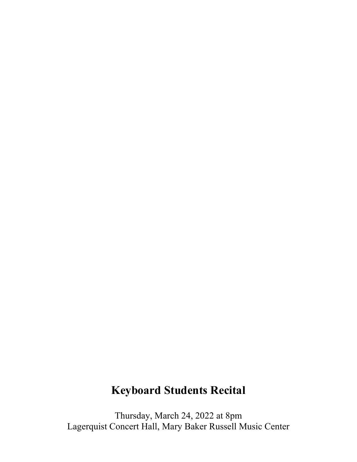## **Keyboard Students Recital**

Thursday, March 24, 2022 at 8pm Lagerquist Concert Hall, Mary Baker Russell Music Center